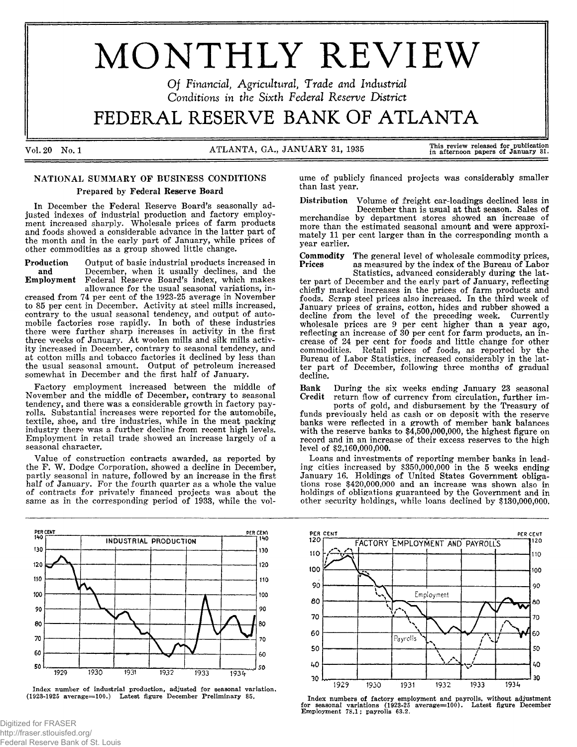# MONTHLY REVIEW

Of Financial, Agricultural, Trade and Industrial *Conditions in the Sixth Federal Reserve District*

FEDERAL RESERVE BANK OF ATLANTA

Vol. 20 No. 1 A TLANTA, GA., JANUARY 31, 1935

than last year.

This review released for publication<br>in afternoon papers of January 31.

# NATIONAL SUMMARY OF BUSINESS CONDITIONS Prepared by Federal Reserve Board

In December the Federal Reserve Board's seasonally adjusted indexes of industrial production and factory employment increased sharply. Wholesale prices of farm products and foods showed a considerable advance in the latter part of the month and in the early part of January, while prices of other commodities as a group showed little change.

Production Output of basic industrial products increased in and December, when it usually declines, and the Employment Federal Reserve Board's index, which makes Federal Reserve Board's index, which makes allowance for the usual seasonal variations, in-

creased from 74 per cent of the 1923-25 average in November to 85 per cent in December. Activity at steel mills increased, contrary to the usual seasonal tendency, and output of automobile factories rose rapidly. In both of these industries there were further sharp increases in activity in the first three weeks of January. At woolen mills and silk mills activity increased in December, contrary to seasonal tendency, and at cotton mills and tobacco factories it declined by less than the usual seasonal amount. Output of petroleum increased somewhat in December and the first half of January.

Factory employment increased between the middle of November and the middle of December, contrary to seasonal tendency, and there was a considerable growth in factory payrolls. Substantial increases were reported for the automobile, textile, shoe, and tire industries, while in the meat packing industry there was a further decline from recent high levels. Employment in retail trade showed an increase largely of a seasonal character.

Value of construction contracts awarded, as reported by the F. W. Dodge Corporation, showed a decline in December, partly seasonal in nature, followed by an increase in the first half of January. For the fourth quarter as a whole the value of contracts for privately financed projects was about the same as in the corresponding period of 1933, while the vol-

PER CENT PER CENT AND RESERVE EXPLORER THAT IS A REPORT OF THE RESERVE EXPLORER THAT IS A REPORT OF THE RESERVE OF THE RESERVE OF THE RESERVE OF THE RESERVE OF THE REPORT OF THE RESERVE OF THE RESERVE OF THE REPORT OF THE **INDUSTRIAL PRODUCTION** 130 130  $12<sub>C</sub>$ 120 110 110 100 100 90 90 80 80 70 70 60 60 50 50 1929 1930 1931 1932 1933  $1934$ 

Index number of industrial production, adjusted for seasonal variation. (1923-1925 average=100.) Latest figure December Preliminary 85.

Distribution Volume of freight car-loadings declined less in December than is usual at that season. Sales of merchandise by department stores showed an increase of

more than the estimated seasonal amount and were approximately 11 per cent larger than in the corresponding month a vear earlier.

ume of publicly financed projects was considerably smaller

Commodity The general level of wholesale commodity prices,<br>Prices as measured by the index of the Bureau of Labor as measured by the index of the Bureau of Labor

Statistics, advanced considerably during the latter part of December and the early part of January, reflecting chiefly marked increases in the prices of farm products and foods. Scrap steel prices also increased. In the third week of January prices of grains, cotton, hides and rubber showed a decline from the level of the preceding week. Currently wholesale prices are  $9$  per cent higher than a year ago, reflecting an increase of 30 per cent for farm products, an increase of 24 per cent for foods and little change for other commodities. Retail prices of foods, as reported by the Bureau of Labor Statistics, increased considerably in the latter part of December, following three months of gradual decline.

Bank During the six weeks ending January 23 seasonal Credit return flow of currency from circulation, further im-

ports of gold, and disbursement by the Treasury of funds previously held as cash or on deposit with the reserve banks were reflected in a growth of member bank balances with the reserve banks to  $$4,500,000,000$ , the highest figure on record and in an increase of their excess reserves to the high level of \$2,160,000,000.

Loans and investments of reporting member banks in leading cities increased by \$350,000,000 in the 5 weeks ending January 16. Holdings of United States Government obligations rose  $$420,000,000$  and an increase was shown also in holdings of obligations guaranteed by the Government and in other security holdings, while loans declined by \$130,000,000.



Index numbers of factory employment and payrolls, without adjustment<br>for seasonal variations (1923-25 average=100). Latest figure December<br>Employment 78.1; payrolls 63.2.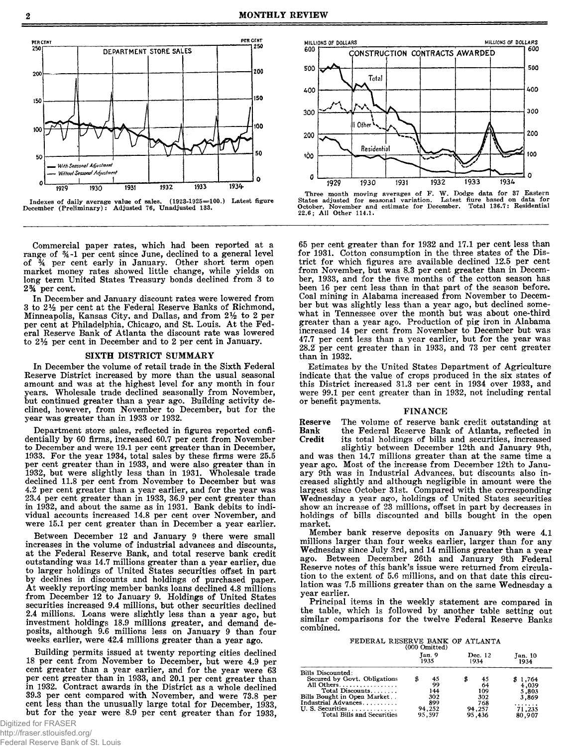



Commercial paper rates, which had been reported at a range of %-l per cent since June, declined to a general level of *%* per cent early in January. Other short term open market money rates showed little change, while yields on long term United States Treasury bonds declined from 3 to **2** *%* per cent.

In December and January discount rates were lowered from 3 to *2V2* per cent at the Federal Reserve Banks of Richmond, Minneapolis, Kansas City, and Dallas, and from 2% to 2 per per cent at Philadelphia, Chicago, and St. Louis. At the Federal Reserve Bank of Atlanta the discount rate was lowered to *2V2* per cent in December and to 2 per cent in January.

#### SIXTH DISTRICT SUMMARY

In December the volume of retail trade in the Sixth Federal Reserve District increased by more than the usual seasonal amount and was at the highest level for any month in four years. Wholesale trade declined seasonally from November, but continued greater than a year ago. Building activity declined, however, from November to December, but for the year was greater than in 1933 or 1932.

Department store sales, reflected in figures reported confidentially by 60 firms, increased 60.7 per cent from November to December and were 19.1 per cent greater than in December, 1933. For the year 1934, total sales by these firms were 25.5 per cent greater than in 1933, and were also greater than in 1932, but were slightly less than in 1931. Wholesale trade declined 11.8 per cent from November to December but was 4.2 per cent greater than a year earlier, and for the year was 23.4 per cent greater than in 1933, 36.9 per cent greater than in 1932, and about the same as in 1931. Bank debits to individual accounts increased 14.8 per cent over November, and were 15.1 per cent greater than in December a year earlier.

Between December 12 and January 9 there were small increases in the volume of industrial advances and discounts, at the Federal Reserve Bank, and total reserve bank credit outstanding was 14.7 millions greater than a year earlier, due to larger holdings of United States securities offset in part by declines in discounts and holdings of purchased paper. At weekly reporting member banks loans declined 4.8 millions from December 12 to January 9. Holdings of United States securities increased 9.4 millions, but other securities declined 2.4 millions. Loans were slightly less than a year ago, but investment holdings 18.9 millions greater, and demand deposits, although 9.6 millions less on January 9 than four weeks earlier, were 42.4 millions greater than a year ago.

Building permits issued at twenty reporting cities declined 18 per cent from November to December, but were 4.9 per cent greater than a year earlier, and for the year were 63 per cent greater than in 1933, and 20.1 per cent greater than in 1932. Contract awards in the District as a whole declined 39.3 per cent compared with November, and were 73.8 per cent less than the unusually large total for December, 1933, but for the year were 8.9 per cent greater than for 1933,



Three month moving averages of F. W. Dodge data for 37 Eastern States adjusted for seasonal variation. Latest fiure based on data for October, November and estimate for December. Total 136.7: Residential 22.6; All Other 114.1.

65 per cent greater than for 1932 and 17.1 per cent less than for 1931. Cotton consumption in the three states of the District for which figures are available declined 12.5 per cent from November, but was 8.3 per cent greater than in December, 1933, and for the five months of the cotton season has been 16 per cent less than in that part of the season before. Coal mining in Alabama increased from November to December but was slightly less than a year ago, but declined somewhat in Tennessee over the month but was about one-third greater than a year ago. Production of pig iron in Alabama increased 14 per cent from November to December but was 47.7 per cent less than a year earlier, but for the year was 28.2 per cent greater than in 1933, and 73 per cent greater than in 1932.

Estimates by the United States Department of Agriculture indicate that the value of crops produced in the six states of this District increased 31.3 per cent in 1934 over 1933, and were 99.1 per cent greater than in 1932, not including rental or benefit payments.

# FINANCE

Reserve The volume of reserve bank credit outstanding at Bank the Federal Reserve Bank of Atlanta, reflected in Bank the Federal Reserve Bank of Atlanta, reflected in Credit its total holdings of bills and securities, increased its total holdings of bills and securities, increased

slightly between December 12th and January 9th, and was then 14.7 millions greater than at the same time a year ago. Most of the increase from December 12th to January 9th was in Industrial Advances, but discounts also increased slightly and although negligible in amount were the largest since October 31st. Compared with the corresponding Wednesday a year ago, holdings of United States securities show an increase of 23 millions, offset in part by decreases in holdings of bills discounted and bills bought in the open market.

Member bank reserve deposits on January 9th were 4.1 millions larger than four weeks earlier, larger than for any Wednesday since July 3rd, and 14 millions greater than a year ago. Between December 26th and January 9th Federal Reserve notes of this bank's issue were returned from circulation to the extent of 5.6 millions, and on that date this circulation was 7.5 millions greater than on the same Wednesday a year earlier.

Principal items in the weekly statement are compared in the table, which is followed by another table setting out similar comparisons for the twelve Federal Reserve Banks combined.

> FEDERAL RESERVE BANK OF ATLANTA (000 Omitted)

|                                                   | Jan. 9<br>1935 | Dec. 12<br>1934 | Jan. 10<br>1934 |
|---------------------------------------------------|----------------|-----------------|-----------------|
| Bills Discounted:<br>Secured by Govt. Obligations | \$<br>45       | 45              | \$1,764         |
| All Others                                        | 99             | 64              | 4,039           |
| Total Discounts                                   | 144            | 109             | 5.803           |
| Bills Bought in Open Market                       | 302            | 302             | 3.869           |
| Industrial Advances                               | 899            | 768             | .               |
| U. S. Securities.                                 | 94,252         | 94,257          | 71.235          |
| Total Bills and Securities                        | 95.597         | 95.436          | 80,907          |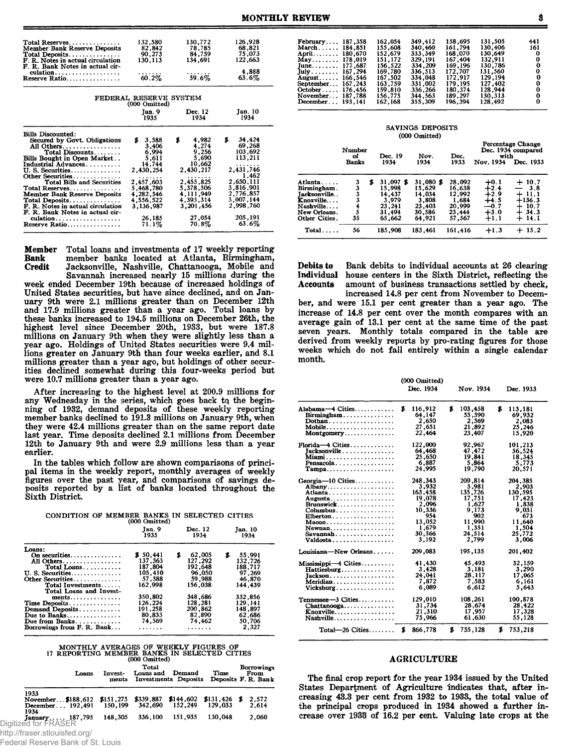| Total Reserves                                | 132,580                | 130,772     | 126,928      |
|-----------------------------------------------|------------------------|-------------|--------------|
| <b>Member Bank Reserve Deposits</b>           | 82,842                 | 78,785      | 68,821       |
| $Total\; Deposits$                            | 90,273                 | 84.759      | 75,073       |
| F. R. Notes in actual circulation             | 130.113                | 134.691     | 122,663      |
| F. R. Bank Notes in actual cir-               |                        |             |              |
| $\alpha$ dation                               |                        |             | 4.888        |
| Reserve Ratio                                 | 60.2%                  | 59.6%       | $63.6\%$     |
|                                               |                        |             |              |
|                                               | FEDERAL RESERVE SYSTEM |             |              |
|                                               | (000 Omitted)          |             |              |
|                                               | Tan. 9                 | Dec. 12     | Jan. 10      |
|                                               | 1935                   | 1934        | 1934         |
|                                               |                        |             |              |
| <b>Bills Discounted:</b>                      |                        |             |              |
| Secured by Govt. Obligations                  | s.<br>3,588            | \$<br>4,982 | 34.424<br>\$ |
| All Others                                    | 3,406                  | 4,274       | 69,268       |
| Total Discounts                               | 6,994                  | 9,256       | 103,692      |
| Bills Bought in Open Market                   | 5,611                  | 5,690       | 113,211      |
| Industrial Advances                           | 14,744                 | 10,662      | .            |
| U.S. Securities                               | 2,430,254              | 2,430,217   | 2,431,746    |
| Other Securities                              | .                      | .           | 1.462        |
| Total Bills and Securities                    | 2,457,603              | 2,455,825   | 2,650,111    |
| Total Reserves                                | 5,468,780              | 5,378,506   | 3,816,901    |
| <b>Member Bank Reserve Deposits</b>           | 4.282.546              | 4, 111, 949 | 2,776,857    |
| $Total\; Deposits.$                           | 4,556,522              | 4,393,314   | 3,007,144    |
| F. R. Notes in actual circulation             | 3, 136, 987            | 3,201,456   | 2,998,760    |
| F. R. Bank Notes in actual cir-               |                        |             |              |
| $culation \ldots \ldots \ldots \ldots \ldots$ | 26,185                 | 27.054      | 205.191      |
| Reserve Ratio                                 | 71.1%                  | $70.8\%$    | 63.6%        |
|                                               |                        |             |              |

Member Total loans and investments of 17 weekly reporting Bank member banks located at Atlanta, Birmingham, Jacksonville, Nashville, Chattanooga, Mobile and Savannah increased nearly 15 millions during the week ended December 19th because of increased holdings of United States securities, but have since declined, and on January 9th were 2.1 millions greater than on December 12th and 17.9 millions greater than a year ago. Total loans by these banks increased to 194.5 millions on December 26th, the highest level since December 20th, 1933, but were 187.8 millions on January 9th when they were slightly less than a year ago. Holdings of United States securities were 9.4 millions greater on January 9th than four weeks earlier, and 8.1 millions greater than a year ago, but holdings of other securities declined somewhat during this four-weeks period but were 10.7 millions greater than a year ago.

After increasing to the highest level at 200.9 millions for any Wednesday in the series, which goes back to the beginning of 1932, demand deposits of these weekly reporting member banks declined to 191.3 millions on January 9th, when they were 42.4 millions greater than on the same report date last year. Time deposits declined 2.1 millions from December 12th to January 9th and were 2.9 millions less than a year earlier.

In the tables which follow are shown comparisons of principal items in the weekly report, monthly averages of weekly figures over the past year, and comparisons of savings deposits reported by a list of banks located throughout the Sixth District.

| CONDITION OF MEMBER BANKS IN SELECTED CITIES |  |                         |  |  |
|----------------------------------------------|--|-------------------------|--|--|
|                                              |  | $(000 \text{ Omitted})$ |  |  |

| Jan. 9<br>1935 | Dec. 12<br>1934                                                                                          | Jan. 10<br>1934                                                                                                                             |
|----------------|----------------------------------------------------------------------------------------------------------|---------------------------------------------------------------------------------------------------------------------------------------------|
|                |                                                                                                          |                                                                                                                                             |
|                |                                                                                                          | 55.991<br>S                                                                                                                                 |
|                |                                                                                                          | 132.726                                                                                                                                     |
|                |                                                                                                          | 188.717                                                                                                                                     |
|                |                                                                                                          | 97,269                                                                                                                                      |
|                |                                                                                                          | 46.870                                                                                                                                      |
|                |                                                                                                          | 144.439                                                                                                                                     |
|                |                                                                                                          |                                                                                                                                             |
| 350.802        |                                                                                                          | 332.856                                                                                                                                     |
|                |                                                                                                          | 129.141                                                                                                                                     |
|                |                                                                                                          | 148.897                                                                                                                                     |
|                |                                                                                                          | 62.686                                                                                                                                      |
|                |                                                                                                          | 50,706                                                                                                                                      |
| .              | .                                                                                                        | 2,327                                                                                                                                       |
|                | \$50,441<br>137,363<br>187,804<br>105,410<br>57.588<br>162.998<br>126.224<br>191,258<br>80.833<br>74.569 | $1000$ Classician<br>62,005<br>\$<br>127.292<br>192,648<br>96.050<br>59.988<br>156.038<br>348,686<br>128,281<br>200,862<br>82,890<br>74.462 |

|                                                                                  | MONTHLY AVERAGES OF WEEKLY FIGURES OF<br>17 REPORTING MEMBER BANKS IN SELECTED CITIES<br>(000 Omitted) |                      |                                |                      |   |                                                  |
|----------------------------------------------------------------------------------|--------------------------------------------------------------------------------------------------------|----------------------|--------------------------------|----------------------|---|--------------------------------------------------|
| Loans                                                                            | Invest-<br>ments                                                                                       | Total<br>Loans and   | Demand<br>Investments Deposits | Time                 |   | <b>Borrowings</b><br>From<br>Deposits F. R. Bank |
| 1933<br>November\$188,612<br>December 192,491                                    | \$151,275<br>150.199                                                                                   | \$339,887<br>342,690 | \$144,602<br>152,249           | \$131,426<br>129,033 | я | 2.572<br>2.614                                   |
| 1934<br>January 187,795<br>Digitized for FRASER<br>http://fraser.stlouisfed.org/ | 148,305                                                                                                | 336,100              | 151,935                        | 130,048              |   | 2,060                                            |

| Federal Reserve Bank of St. Louis |  |  |
|-----------------------------------|--|--|

| February, $187,358$<br>March 184,851<br>April 180.670<br>May178.019<br>June 177.687<br>July 167,294 | 162.054<br>155.608<br>152.679<br>151.172<br>156.522<br>169.780 | 349.412<br>340,460<br>333.349<br>329.191<br>334.209<br>336.513 | 158.695<br>161.794<br>168,070<br>167,404<br>169.196<br>172.707<br>172.917 | 131,505<br>130,406<br>130.649<br>132.911<br>130.786<br>131.560<br>129.194 | 441<br>161<br>- 0<br>0<br>0<br>$\bf{0}$<br>0 |
|-----------------------------------------------------------------------------------------------------|----------------------------------------------------------------|----------------------------------------------------------------|---------------------------------------------------------------------------|---------------------------------------------------------------------------|----------------------------------------------|
| August 166,546<br>September 167.243                                                                 | 167,502<br>163.759                                             | 334,048<br>331.002                                             | 179.195                                                                   | 127,402                                                                   | 0                                            |
| $October \dots 176,456$<br>November 187,788<br>December 193.141                                     | 159.810<br>156.775<br>162.168                                  | 336.266<br>344,563<br>355,309                                  | 180.374<br>189.297<br>196.394                                             | 128.944<br>130.313<br>128.492                                             | 0<br>0<br>0                                  |

|                                                                                                                 |                              |                                                                            | SAVINGS DEPOSITS<br>(000 Omitted)                                    |                                                                   |                                                                    |                                                               |
|-----------------------------------------------------------------------------------------------------------------|------------------------------|----------------------------------------------------------------------------|----------------------------------------------------------------------|-------------------------------------------------------------------|--------------------------------------------------------------------|---------------------------------------------------------------|
|                                                                                                                 | Number<br>оf<br><b>Banks</b> | Dec. 19<br>1934                                                            | Nov.<br>1934                                                         | Dec.<br>1933                                                      | with<br>Nov. 1934                                                  | <b>Percentage Change</b><br>Dec. 1934 compared<br>Dec. 1933   |
| Atlanta<br>Birmingham.<br>Jacksonville<br>Knoxville<br>$N$ ashville $\ldots$ .<br>New Orleans.<br>Other Cities. | 3<br>33345<br>35             | 31,097 \$<br>\$<br>15,998<br>14.437<br>3.979<br>23.241<br>31.494<br>65.662 | 31,080 \$<br>15.629<br>14.034<br>3,808<br>23,403<br>30.586<br>64.921 | 28,092<br>16,638<br>12.992<br>1,684<br>20,999<br>23,444<br>57.567 | $+0.1$<br>$+2.4$<br>$+2.9$<br>$+4.5$<br>$-0.7$<br>$+3.0$<br>$+1.1$ | $+10.7$<br>$-3.8$<br>11.1<br>$+136.3$<br>10.7<br>34.3<br>14.1 |
| Total                                                                                                           | 56                           | 185,908                                                                    | 183.461                                                              | 161,416                                                           | $+1.3$                                                             | $+15.2$                                                       |

Debits to Bank debits to individual accounts at 26 clearing Individual house centers in the Sixth District, reflecting the Accounts amount of business transactions settled by check. amount of business transactions settled by check,

increased 14.8 per cent from November to December, and were 15.1 per cent greater than a year ago. The increase of 14.8 per cent over the month compares with an average gain of 13.1 per cent at the same time of the past seven years. Monthly totals compared in the table are derived from weekly reports by pro-rating figures for those weeks which do not fall entirely within a single calendar month.

|                                                        | (000 Omitted)<br>Dec. 1934 | Nov. 1934               | Dec. 1933               |
|--------------------------------------------------------|----------------------------|-------------------------|-------------------------|
| Alabama-4 Cities<br>Birmingham                         | \$<br>116,912<br>64,147    | \$<br>103,458<br>55,590 | \$<br>113,181<br>69,932 |
| $\mathbf{Dothan.} \dots \dots \dots \dots \dots \dots$ | 2,650                      | 2,569                   | 2,083                   |
| Mobile                                                 | 27,651                     | 21,892                  | 25,246                  |
| $\text{Montgometry} \dots \dots \dots \dots \dots$     | 22.464                     | 23.407                  | 15,920                  |
| $\text{Florida}\rightarrow 4$ Cities                   | 122,000                    | 92,967                  | 101.213                 |
| Tacksonville                                           | 64,468                     | 47,472                  | 56,524                  |
| Miami                                                  | 25,650                     | 19,841                  | 18.345                  |
| Pensacola                                              | 6,887                      | 5,864                   | 5,773                   |
| $Tampa \ldots \ldots \ldots \ldots \ldots$             | 24,995                     | 19,790                  | 20,571                  |
| $Georgia-10$ Cities                                    | 248.343                    | 209,814                 | 204,385                 |
| Albany                                                 | 3,932                      | 3,981                   | 2,903                   |
|                                                        | 163,458                    | 135,726                 | 130.595                 |
| Augusta                                                | 19,078                     | 17,751                  | 17.423                  |
| Brunswick                                              | 2,096                      | 1,627                   | 1.838                   |
|                                                        | 10,336                     | 9.173                   | 9.031                   |
| $Elberton \ldots \ldots \ldots \ldots$                 | 954                        | 902                     | 673                     |
|                                                        | 13,052                     | 11,990                  | 11.640                  |
| Newnan                                                 | 1,679                      | 1,351                   | 1,504                   |
| $Savannah \ldots \ldots \ldots \ldots \ldots$          | 30,566                     | 24,514                  | 25,772                  |
| Valdosta                                               | 3,192                      | 2,799                   | 3,006                   |
| Louisiana-New Orleans                                  | 209,083                    | 195,135                 | 201,402                 |
| Mississippi-4 Cities                                   | 41.430                     | 45,493                  | 32.159                  |
| Hattiesburg                                            | 3.428                      | 3,181                   | 3.290                   |
| $Jackson \ldots \ldots \ldots \ldots$                  | 24,041                     | 28,117                  | 17,065                  |
| Meridian                                               | 7,872                      | 7,583                   | 6.161                   |
| $Vicksburg \dots \dots \dots$                          | 6,089                      | 6.612                   | 5,643                   |
| Tennessee-3 Cities                                     | 129,010                    | 108,261                 | 100,878                 |
| $Chattanooga \ldots \ldots \ldots$                     | 31,734                     | 28,674                  | 28.422                  |
| Knoxville                                              | 21,310                     | 17,957                  | 17,328                  |
| Nashville                                              | 75,966                     | 61,630                  | 55.128                  |
| $Total - 26$ Cities                                    | \$<br>866,778              | \$<br>755,128           | \$<br>753,218           |

### AGRICULTURE

The final crop report for the year 1934 issued by the United States Department of Agriculture indicates that, after increasing 43.3 per cent from 1932 to 1933., the total value of the principal crops produced in 1934 showed a further increase over 1938 of 16.2 per cent. Valuing late crops at the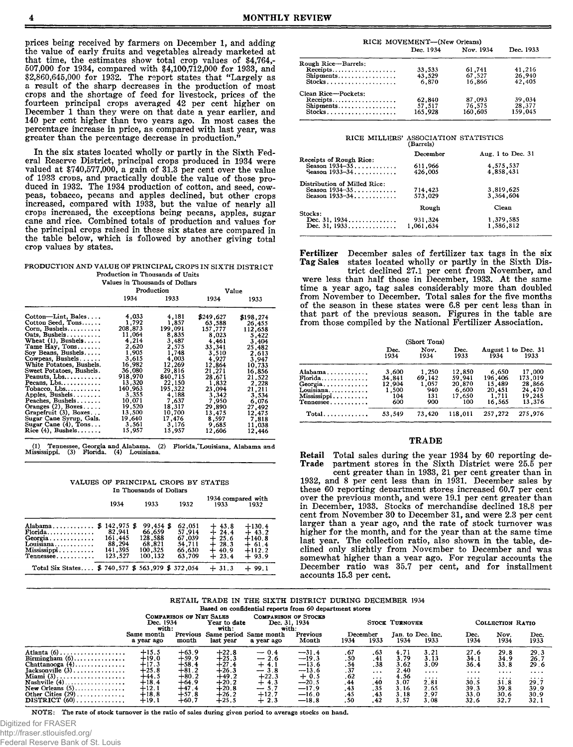prices being received by farmers on December 1, and adding the value of early fruits and vegetables already marketed at that time, the estimates show total crop values of \$4,764,- 507,000 for 1934, compared with \$4,100,712,000 for 1933, and \$2,860,645,000 for 1932. The report states that "Largely as a result of the sharp decreases in the production of most crops and the shortage of feed for livestock, prices of the fourteen principal crops averaged 42 per cent higher on December 1 than they were on that date a year earlier, and 140 per cent higher than two years ago. In most cases the percentage increase in price, as compared with last year, was greater than the percentage decrease in production."

In the six states located wholly or partly in the Sixth Federal Reserve District, principal crops produced in 1934 were valued at \$740,577,000, a gain of 31.3 per cent over the value of 19-33 crons, and practically double the value of those produced in 1932. The 1934 production of cotton, and seed, cowpeas, tobacco, pecans and apples declined, but other crops increased, compared with 1933, but the value of nearly all crops increased, the exceptions being pecans, apples, sugar cane and rice. Combined totals of production and values for the principal crops raised in these six states are compared in the table below, which is followed by another giving total crop values by states.

#### PRODUCTION AND VALUE OF PRINCIPAL CROPS IN SIXTH DISTRICT Production in Thousands of Units Values in Thousands of Doll

|                          |         | Production |           | Value     |  |  |  |
|--------------------------|---------|------------|-----------|-----------|--|--|--|
|                          | 1934    | 1933       | 1934      | 1933      |  |  |  |
| Cotton-Lint, Bales       | 4.033   | 4,181      | \$249,627 | \$198,274 |  |  |  |
| Cotton Seed, Tons        | 1,792   | 1,857      | 63,588    | 26,455    |  |  |  |
| Corn, Bushels            | 208,873 | 199,091    | 157.777   | 112,658   |  |  |  |
| $Oats$ , Bushels         | 11,064  | 8,835      | 8.023     | 5.422     |  |  |  |
| Wheat $(1)$ , Bushels    | 4.214   | 3.487      | 4.461     | 3,404     |  |  |  |
| Tame Hay, $Tons$         | 2.620   | 2.575      | 33,341    | 25.482    |  |  |  |
| Soy Beans, Bushels       | 1.905   | 1,748      | 3,510     | 2.613     |  |  |  |
| Cowpeas, Bushels         | 3,615   | 4.003      | 4.927     | 3,947     |  |  |  |
| White Potatoes, Bushels. | 16.982  | 12.269     | 12,864    | 10,733    |  |  |  |
| Sweet Potatoes, Bushels. | 36.080  | 29,816     | 21,271    | 16,856    |  |  |  |
| Peanuts, Lbs             | 918,970 | 840,715    | 28.671    | 21.522    |  |  |  |
| Pecans. Lbs              | 13,320  | 22,150     | 1,832     | 2,228     |  |  |  |
| Tobacco, Lbs             | 140,963 | 195.322    | 23,094    | 21,211    |  |  |  |
| Apples, Bushels          | 3,355   | 4,188      | 3,342     | 3.534     |  |  |  |
| Peaches, Bushels         | 10.071  | 7.637      | 7,950     | 6,076     |  |  |  |
| Oranges $(2)$ , Boxes    | 19,520  | 18,317     | 29.890    | 27,492    |  |  |  |
| Grapefruit (3), Boxes    | 13,500  | 10.700     | 13,475    | 12,475    |  |  |  |
| Sugar Cane Syrup, Gals.  | 19.640  | 17,476     | 8.597     | 7.818     |  |  |  |
| Sugar Cane $(4)$ . Tons  | 3,561   | 3.176      | 9.685     | 11,038    |  |  |  |
| Rice $(4)$ , Bushels     | 15,957  | 15,957     | 12,606    | 12.446    |  |  |  |

(1) Tennessee, Georgia and Alabama. (2) Florida,"Louisiana, Alabama and<br>Mississippi. (3) Florida. (4) Louisiana.

VALUES OF PRINCIPAL CROPS BY STATES In Thousands of Dollars

|                                                                  |                             | ти тиоизаниз от глиата      |                            |                               |                                |
|------------------------------------------------------------------|-----------------------------|-----------------------------|----------------------------|-------------------------------|--------------------------------|
|                                                                  | 1934                        | 1933                        | 1932                       | 1934 compared with<br>1933    | 1932                           |
| Alabama \$ 142,975 \$                                            |                             | 99,454 \$                   | 62,051                     | $+43.8$                       | $+130.4$                       |
| $\text{Florida} \dots \dots \dots \dots$<br>Georgia<br>Louisiana | 82.941<br>161.445<br>88.294 | 66.659<br>128.588<br>68.821 | 57.914<br>67,039<br>54,711 | $+24.4$<br>$+25.6$<br>$+28.3$ | $+43.2$<br>$+140.8$<br>$+61.4$ |
| Missisis pipi<br>Tennessee                                       | 141.395<br>123.527          | 100,325<br>100.132          | 66,630<br>63.709           | $+40.9$<br>$+23.4$            | $+112.2$<br>$+93.9$            |
| Total Six States \$ 740,577 \$ 563,979 \$ 372,054                |                             |                             |                            | $+31.3$                       | $+99.1$                        |

|                     | RICE MOVEMENT-(New Orleans) |           |           |
|---------------------|-----------------------------|-----------|-----------|
|                     | Dec. 1934                   | Nov. 1934 | Dec. 1933 |
| Rough Rice-Barrels: |                             |           |           |
| Receipts            | 33.533                      | 61,741    | 41,216    |
| Shipments           | 43,529                      | 67,527    | 26,940    |
| Stocks              | 6.870                       | 16.866    | 42.405    |
| Clean Rice-Pockets: |                             |           |           |
| Receipts            | 62,840                      | 87.093    | 39,034    |
| Shipments           | 57,517                      | 76,575    | 28,377    |
| Stocks              | 165,928                     | 160,605   | 159,045   |

# RICE MILLERS' ASSOCIATION STATISTICS (Barrels)

|                                                                   | , , , , , , , , , ,  |                        |
|-------------------------------------------------------------------|----------------------|------------------------|
|                                                                   | December             | Aug. 1 to Dec. $31$    |
| Receipts of Rough Rice:<br>Season $1934-35$<br>Season $1933 - 34$ | 611,966<br>426.005   | 4,575,537<br>4,858,431 |
| Distribution of Milled Rice:<br>Season 1934-35<br>Season 1933-34  | 714,423<br>573,029   | 3,819,625<br>3.364.604 |
|                                                                   | Rough                | Clean                  |
| Stocks:<br>Dec. 31, 1934<br>Dec. 31, 1933                         | 931,324<br>1,061,634 | 1,379,585<br>1.586.812 |

Fertilizer December sales of fertilizer tax tags in the six states located wholly or partly in the Sixth Dis-

trict declined 27.1 per cent from November, and were less than half those in December, 1938. At the same time a year ago, tag sales considerably more than doubled from November to December. Total sales for the five months of the season in these states were 6.8 per cent less than in that part of the previous season. Figures in the table are from those compiled by the National Fertilizer Association.

|                                                                                                           |                                                  | (Short Tons)                                  |                                                      |                                                         |                                                           |
|-----------------------------------------------------------------------------------------------------------|--------------------------------------------------|-----------------------------------------------|------------------------------------------------------|---------------------------------------------------------|-----------------------------------------------------------|
|                                                                                                           | Dec.<br>1934                                     | Nov.<br>1934                                  | Dec.<br>1933                                         | August 1 to Dec. 31<br>1934                             | 1933                                                      |
| Alabama<br>$\text{Florida} \dots \dots \dots \dots$<br>$Georgia$<br>Louisiana<br>Mississippi<br>Tennessee | 3,600<br>34.841<br>12.904<br>1.500<br>104<br>600 | 1,250<br>69,142<br>1,057<br>940<br>131<br>900 | 12,850<br>59.941<br>20,870<br>6.600<br>17.650<br>100 | 6,650<br>196,406<br>15.489<br>20,451<br>1,711<br>16.565 | 17,000<br>173,019<br>28,866<br>24.470<br>19.245<br>13.376 |
| $Total \dots \dots \dots \dots$                                                                           | 53.549                                           | 73.420                                        | 118.011                                              | 257,272                                                 | 275.976                                                   |

## TRADE

Retail Total sales during the year 1934 by 60 reporting de-<br>Trade partment stores in the Sixth District were 25.5 per Trade partment stores in the Sixth District were 25.5 per

cent greater than in 1933, 21 per cent greater than in 1932, and 8 per cent less than in 1931. December sales by these 60 reporting department stores increased 60.7 per cent over the previous month, and were 19.1 per cent greater than in December, 1933. Stocks of merchandise declined 18.8 per cent from November 30 to December 31, and were 2.3 per cent larger than a year ago, and the rate of stock turnover was higher for the month, and for the year than at the same time last year. The collection ratio, also shown in the table, declined only slightly from November to December and was somewhat higher than a year ago. For regular accounts the December ratio was 35.7 per cent, and for installment accounts 15.3 per cent.

RETAIL TRADE IN THE SIXTH DISTRICT DURING DECEMBER 1934

Based on confidential reports from 60 department stores

|                                               | Dec. 1934                |                   | COMPARISON OF NET SALES<br>COMPARISON OF STOCKS<br>Dec. 31, 1934<br>Year to date<br>with:<br>with:<br>with: |                                      |                   | <b>STOCK TURNOVER</b> |          |      |                           | COLLECTION RATIO |              |              |
|-----------------------------------------------|--------------------------|-------------------|-------------------------------------------------------------------------------------------------------------|--------------------------------------|-------------------|-----------------------|----------|------|---------------------------|------------------|--------------|--------------|
|                                               | Same month<br>a year ago | Previous<br>month | last vear                                                                                                   | Same period Same month<br>a vear ago | Previous<br>Month | December<br>1934      | 1933     | 1934 | Jan. to Dec. inc.<br>1933 | Dec.<br>1934     | Nov.<br>1934 | Dec.<br>1933 |
| Atlanta $(6)$                                 | $+15.5$                  | $+63.9$           | $+22.8$                                                                                                     | $-0.4$                               | $-31.4$           | .67                   | .63      | 4.71 | 3.21                      | 27.6             | 29.8         | 29.3         |
| $Birmingham(6) \ldots \ldots \ldots \ldots$   | $+19.0$                  | $+59.9$           | $+25.3$                                                                                                     | $-2.6$                               | $-19.3$           | .50                   | .41      | 3.79 | 3.13                      | 34.1             | 34.9         | 26.7         |
| Chattanooga $(4)$                             | $+17.3$                  | $+58.4$           | $+27.4$                                                                                                     | $+4.1$                               | $-13.6$           |                       | .38      | 3.62 | 3.09                      | 36.4             | 33.8         | 29.6         |
| $Tacksonville(3) \ldots \ldots \ldots \ldots$ | $+25.8$                  | $+81.2$           | $+26.3$                                                                                                     | $-3.8$                               | $-13.6$           | $\frac{54}{37}$       | $\cdots$ | 2.40 | $\cdots$                  |                  |              | $\cdots$     |
| Miami $(3)$                                   | $+44.5$                  | $+80.2$           | $+49.2$                                                                                                     | $+22.3$                              | $+0.5$            | . 62                  | $\cdots$ | 4.56 | 1.1.1                     | .                | .            | .            |
| Nashville $(4)$                               | $+18.4$                  | $+64.9$           | $+20.2$                                                                                                     | $+4.3$                               | $-20.5$           | .44                   | .40      | 3.07 | 2.81                      | 30.5             | 31.8         | 29.7         |
| New Orleans $(5)$                             | $+12.1$                  | $+47.4$           | $+20.8$                                                                                                     | $-5.7$                               | $-17.9$           | .43                   | .35      | 3.16 | 2.65                      | 39.3             | 39.8         | 39.9         |
| Other Cities $(29)$                           | $+18.8$                  | $+57.8$           | $+26.2$                                                                                                     | $+12.7$                              | $-16.0$           | .45                   | .43      | 3.18 | 2.97                      | 33.0             | 30.6         | 30.9         |
| $DISTRICT(60)$                                | $+19.1$                  | $+60.7$           | $+25.5$                                                                                                     | $+2.3$                               | $-18.8$           | . 50                  | .42      | 3.57 | 3.08                      | 32.6             | 32.7         | 32.1         |

NOTE: The rate of stock turnover is the ratio of sales during given period to average stocks on hand.

Digitized for FRASER

http://fraser.stlouisfed.org/

Federal Reserve Bank of St. Louis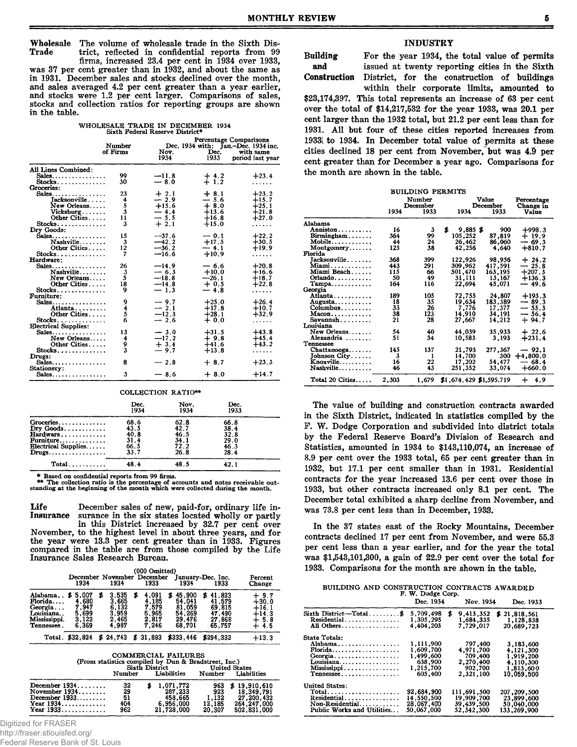Wholesale The volume of wholesale trade in the Sixth Dis-<br>Trade trict, reflected in confidential reports from 99 trict, reflected in confidential reports from 99

firms, increased 23.4 per cent in 1934 over 1933, was 37 per cent greater than in 1932, and about the same as in 1931. December sales and stocks declined over the month, and sales averaged 4.2 per cent greater than a year earlier, and stocks were 1.2 per cent larger. Comparisons of sales, stocks and collection ratios for reporting groups are shown in the table.

| WHOLESALE TRADE IN DECEMBER 1934 |  |
|----------------------------------|--|
| Sixth Federal Reserve District*  |  |

|                                     | Number   | Percentage Comparisons<br>Dec. 1934 with: Jan.-Dec. 1934 inc. |              |                               |  |  |  |
|-------------------------------------|----------|---------------------------------------------------------------|--------------|-------------------------------|--|--|--|
|                                     | of Firms | Nov.<br>1934                                                  | Dec.<br>1933 | with same<br>period last year |  |  |  |
| All Lines Combined:                 |          |                                                               |              |                               |  |  |  |
| $Sales \ldots \ldots \ldots \ldots$ | 99       | $-11.8$                                                       | $+4.2$       | $+23.4$                       |  |  |  |
|                                     | 30       | $-8.0$                                                        | $+1.2$       |                               |  |  |  |
| Groceries:                          |          |                                                               |              |                               |  |  |  |
| Sales                               | 23       | $+2.1$                                                        | $+8.1$       | $+23.2$                       |  |  |  |
| Tacksonville                        | 4        | $-2.9$                                                        | $-5.6$       | $+15.7$                       |  |  |  |
| New Orleans                         | 5        | $+15.6$                                                       | $+8.0$       | $+25.1$                       |  |  |  |
| Vicksburg                           | 3        | $-4.4$                                                        | $+13.6$      | $+21.8$                       |  |  |  |
| Other Cities                        | 11       | $-5.5$                                                        | $+16.8$      | $+27.0$                       |  |  |  |
| $Stocks$                            | 3        | $+2.1$                                                        | $+15.0$      | .                             |  |  |  |
| Dry Goods:                          |          |                                                               |              |                               |  |  |  |
| $Sales \ldots \ldots \ldots \ldots$ | 15       | $-37.6$                                                       | $-0.1$       | $+22.2$                       |  |  |  |
| Nashville                           | 3        | $-42.2$                                                       | $+17.5$      | $+30.5$                       |  |  |  |
| Other Cities                        | 12       | $-36.2$                                                       | $-4.1$       | $+19.9$                       |  |  |  |
| $Stocks$                            | 7        | $-16.6$                                                       | $+10.9$      | .                             |  |  |  |
| Hardware:                           |          |                                                               |              |                               |  |  |  |
| $Sales \ldots \ldots \ldots$        | 26       | $-14.9$                                                       | $-6.6$       | $+20.8$                       |  |  |  |
| Nashville                           | 3        | $-6.3$                                                        | $+10.0$      | $+16.6$                       |  |  |  |
| New Orleans                         | 5        | $-18.8$                                                       | $-26.1$      | $+18.7$                       |  |  |  |
| Other Cities                        | 18       | $-14.8$                                                       | $+0.5$       | $+22.8$                       |  |  |  |
| $Stocks$                            | 9        | $-1.3$                                                        | $-4.8$       | .                             |  |  |  |
| Furniture:                          |          |                                                               |              |                               |  |  |  |
| $Sales$                             | 9        | $-9.7$                                                        | $+25.0$      | $+26.4$                       |  |  |  |
| Atlanta                             | 4        | $-2.1$                                                        | $+17.8$      | $+10.7$                       |  |  |  |
| Other Cities                        | 5        | $-12.3$                                                       | $+28.1$      | $+32.9$                       |  |  |  |
| Stocks                              | 6        | $-2.6$                                                        | $+0.0$       | .                             |  |  |  |
| <b>Electrical Supplies:</b>         |          |                                                               |              |                               |  |  |  |
| $Sales \ldots \ldots \ldots \ldots$ | 13       | $-3.0$                                                        | $+31.5$      | $+43.8$                       |  |  |  |
| New Orleans                         | 4        | $-17.2$                                                       | $+9.8$       | $+45.4$                       |  |  |  |
| Other Cities                        | 9        | $+3.4$                                                        | $+41.6$      | $+43.2$                       |  |  |  |
| $Stocks.$                           | 3        | $-9.7$                                                        | $+13.8$      | .                             |  |  |  |
| Drugs:                              |          |                                                               |              |                               |  |  |  |
| $Sales \ldots \ldots \ldots$        | 8        | $-2.8$                                                        | $+8.7$       | $+23.3$                       |  |  |  |
| Stationery:                         |          |                                                               |              |                               |  |  |  |
| $Sales$                             | 3        | $-8.6$                                                        | $+8.0$       | $+14.7$                       |  |  |  |

COLLECTION RATIO\*\*

|                                                                                                                          | Dec.<br>1934                                 | Nov.<br>1934                                 | Dec.<br>1933                                 |  |
|--------------------------------------------------------------------------------------------------------------------------|----------------------------------------------|----------------------------------------------|----------------------------------------------|--|
| Groceries<br>$\mathbf{Dry}$ Goods<br>Hardware<br>Furniture<br>Electrical Supplies<br>$Drugs \ldots \ldots \ldots \ldots$ | 68.6<br>43.5<br>40.8<br>31.4<br>66.5<br>33.7 | 62.8<br>42.7<br>46.5<br>34.1<br>72.2<br>26.8 | 66.8<br>38.4<br>32.8<br>29.0<br>46.3<br>28.4 |  |
|                                                                                                                          | 48.4                                         | 48.5                                         | 42.1                                         |  |

\* Based on confidential reports from 99 firms.

\*\* The collection ratio is the percentage of accounts and notes receivable out-standing at the beginning of the month which were collected during the month.

Life December sales of new, paid-for, ordinary life in-<br>Insurance surance in the six states located wholly or partly surance in the six states located wholly or partly in this District increased by 32.7 per cent over November, to the highest level in about three years, and for the year were 13.3 per cent greater than in 1933. Figures compared in the table are from those compiled by the Life Insurance Sales Research Bureau.

| Alabama<br>5.007<br>ъ<br>Florida                                                       | 35    | 3.535                                     |   |                                                    |   |                                                          |                                                               |                                              |
|----------------------------------------------------------------------------------------|-------|-------------------------------------------|---|----------------------------------------------------|---|----------------------------------------------------------|---------------------------------------------------------------|----------------------------------------------|
| 7.947<br>Georgia<br>5.699<br>Louisiana<br>3.122<br>Mississippi.<br>6.369<br>Tennessee. | 4,680 | 3,665<br>6.132<br>3,959<br>2.465<br>4,987 | 8 | 4,091<br>4,185<br>7.579<br>5.965<br>2.817<br>7.246 | S | 45,900<br>54,041<br>81,059<br>54.269<br>29,476<br>68.701 | 41,823<br>S<br>41.579<br>69.815<br>47,490<br>27,868<br>65.757 | 9.7<br>$+30.0$<br>16.1<br>14.3<br>5.8<br>4.5 |
| \$32,824<br>Total.                                                                     |       | \$24.743                                  |   | \$31,883                                           |   | \$333.446                                                | \$294.332                                                     | $+13.3$                                      |

| COMMERCIAL FAILONES<br>(From statistics compiled by Dun & Bradstreet, Inc.)<br>Sixth District<br><b>United States</b> |                              |  |                                                            |                                         |                                                                          |  |  |
|-----------------------------------------------------------------------------------------------------------------------|------------------------------|--|------------------------------------------------------------|-----------------------------------------|--------------------------------------------------------------------------|--|--|
|                                                                                                                       | Number                       |  | Liabilities                                                | Number                                  | Liabilities                                                              |  |  |
| December $1934$<br>November $1934$<br>December $1933$<br>Year $1934$<br>Year $1933$                                   | 32<br>29<br>51<br>404<br>962 |  | 1,071,772<br>287,233<br>458.665<br>6.956.000<br>21,728,000 | 963<br>923<br>1.132<br>12.185<br>20.307 | \$19.910.610<br>18.349.791<br>27.200.432<br>264, 247, 000<br>502,831,000 |  |  |

COMMERCIAL FAILURES

Digitized for FRASER

http://fraser.stlouisfed.org/

Federal Reserve Bank of St. Louis

# INDUSTRY

Building For the year 1934, the total value of permits and issued at twenty reporting cities in the Sixth Construction District, for the construction of buildings

within their corporate limits, amounted to \$23,174,397. This total represents an increase of 63 per cent over the total of \$14,217,532 for the year 1933, was 20.1 per cent larger than the 1932 total, but 21.2 per cent less than for 1931. All but four of these cities reported increases from 1933 to 1934. In December total value of permits at these cities declined 18 per cent from November, but was 4.1) per cent greater than for December a year ago. Comparisons for the month are shown in the table.

|                                           |       | BUILDING PERMITS   |                         |                   |                         |
|-------------------------------------------|-------|--------------------|-------------------------|-------------------|-------------------------|
|                                           |       | Number<br>December |                         | Value<br>December | Percentage<br>Change in |
|                                           | 1934  | 1933               | 1934                    | 1933              | Value                   |
| Alabama                                   |       |                    |                         |                   |                         |
| Anniston                                  | 16    | 3                  | \$<br>$9,885$ \$        | 900               | $+998.3$                |
| Birmingham                                | 364   | 99                 | 105,252                 | 87,819            | + 19.9                  |
| Mobile                                    | 44    | 24                 | 26,462                  | 86.060            | $-69.3$                 |
| Montgenery                                | 125   | 38                 | 42,256                  | 4.640             | $+810.7$                |
| Florida                                   |       |                    |                         |                   |                         |
| Jacksonville                              | 368   | 399                | 122,926                 | 98,956            | $+24.2$                 |
| Miami                                     | 443   | 291                | 309,962                 | 417,591           | $-25.8$                 |
| Miami Beach                               | 115   | 66                 | 501,470                 | 163,195           | $+207.3$                |
| Orlando                                   | 50    | 49                 | 31,111                  | 13,167            | $+136.3$                |
| $\mathtt{Tampa.}\ldots\ldots\ldots\ldots$ | 164   | 116                | 22,694                  | 45.071            | — 49.6                  |
| Georgia                                   |       |                    |                         |                   |                         |
| Atlanta                                   | 189   | 105                | 72,755                  | 24,807            | $+193.3$                |
| Augusta                                   | 18    | 35                 | 19,634                  | 183,389           | $-89.3$                 |
| Columbus                                  | 33    | 26                 | 7,776                   | 17,377            | $-55.3$                 |
| $Macon \ldots \ldots$                     | 38    | 123                | 14,910                  | 34,191            | $-56.4$                 |
| $Savannah$                                | 21    | 28                 | 27,667                  | 14,212            | $+94.7$                 |
| Louisiana                                 |       |                    |                         |                   |                         |
| New Orleans                               | 54    | 40                 | 44,039                  | 35,933            | $+22.6$                 |
| Alexandria                                | 51    | 34                 | 10,583                  | 3.193             | $+231.4$                |
| Tennessee                                 |       |                    |                         |                   |                         |
| Chattanooga                               | 145   | 137                | 21,793                  | 277,367           | $-92.1$                 |
| Johnson City.                             | 3     | 1                  | 14,700                  | 300               | $+4,800.0$              |
| Knoxville                                 | 16    | 22                 | 17,202                  | 54,477            | 68.4                    |
| Nashville                                 | 46    | 43                 | 251,352                 | 33,074            | $+660.0$                |
|                                           |       |                    |                         |                   |                         |
| Total 20 Cities                           | 2,303 | 1.679              | \$1,674.429 \$1,595.719 |                   | $+ 4.9$                 |

The value of building and construction contracts awarded in the Sixth District, indicated in statistics compiled by the F. W. Dodge Corporation and subdivided into district totals by the Federal Reserve Board's Division of Research and Statistics, amounted in 1934 to \$143,110,074, an increase of 8.9 per cent over the 1933 total, 65 per cent greater than in 1932, but 17.1 per cent smaller than in 1931. Residential contracts for the year increased 13.6 per cent over those in 1933, but other contracts increased only 8.1 per cent. The December total exhibited a sharp decline from November, and was 73.8 per cent less than in December, 1938.

In the 37 states east of the Rocky Mountains, December contracts declined 17 per cent from November, and were 55.3 per cent less than a year earlier, and for the year the total was \$1,543,101,300, a gain of 22.9 per cent over the total for 1933. Comparisons for the month are shown in the table.

BUILDING AND CONSTRUCTION CONTRACTS AWARDED F. W. Dodge Corp.

|                                       | Dec. 1934              | Nov. 1934              | Dec. 1933               |
|---------------------------------------|------------------------|------------------------|-------------------------|
| Sixth District-Total\$<br>Residential | 5,709,498<br>1,305,295 | \$<br>9,413,352        | \$21,818,561            |
| All Others                            | 4.404.203              | 1,684,335<br>7,729,017 | 1.128.838<br>20,689,723 |
| <b>State Totals:</b>                  |                        |                        |                         |
| Alabama                               | 1,111,900              | 797,400                | 3,183,600               |
| Florida                               | 1,609,700              | 4.971,700              | 4.121.300               |
| Georgia                               | 1.499.600              | 709.400                | 1,919,200               |
| Louisiana                             | 638,900                | 2,270,400              | 4,110,300               |
| Mississippi                           | 1,215,700              | 902.700                | 1,813,600               |
| Tennessee                             | 605.400                | 2.321.100              | 10.059,500              |
| United States:                        |                        |                        |                         |
| Total                                 | 92,684,900             | 111,691,500            | 207, 209, 500           |
| Residential                           | 14.550.500             | 19,909,700             | 23,899,600              |
| $Non-Residental$                      | 28,067,400             | 39,439,500             | 50,040,000              |
| Public Works and Utilities            | 50,067,000             | 52, 342, 300           | 133,269,900             |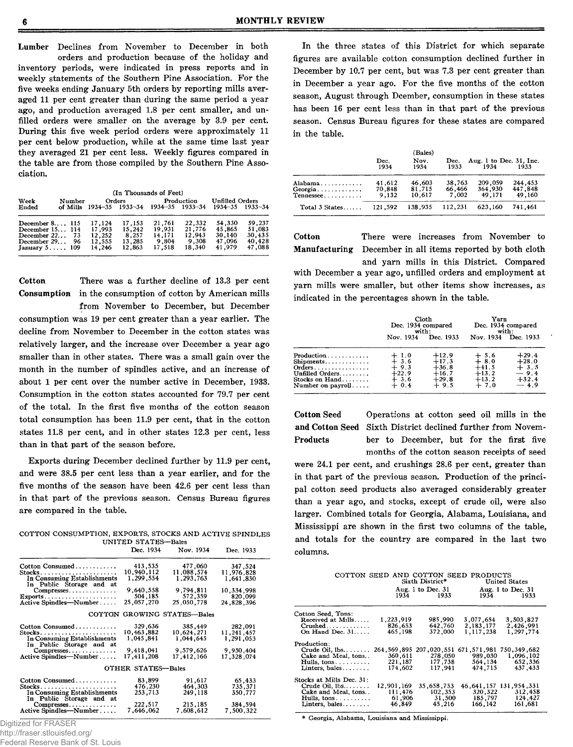Lumber Declines from November to December in both orders and production because of the holiday and inventory periods, were indicated in press reports and in weekly statements of the Southern Pine Association. For the five weeks ending January 5th orders by reporting mills averaged 11 per cent greater than during the same period a year ago, and production averaged 1.8 per cent smaller, and unfilled orders were smaller on the average by 3.9 per cent. During this five week period orders were approximately 11 per cent below production, while at the same time last year they averaged 21 per cent less. Weekly figures compared in the table are from those compiled by the Southern Pine Association.

|                                                                                                        |                    |                                                | (In Thousands of Feet)                        |                                               |                                               |                                                |                                                |
|--------------------------------------------------------------------------------------------------------|--------------------|------------------------------------------------|-----------------------------------------------|-----------------------------------------------|-----------------------------------------------|------------------------------------------------|------------------------------------------------|
| Week<br>Ended                                                                                          | Number<br>of Mills |                                                | Orders<br>$1934 - 35$ $1933 - 34$             |                                               | Production<br>1934-35 1933-34                 | <b>Unfilled Orders</b>                         | 1934-35 1933-34                                |
| December $8 \ldots 115$<br>December 15 114<br>December $22$<br>December 29<br>January $5 \ldots$ , 109 | 73<br>96           | 17,124<br>17.993<br>12,252<br>12.555<br>14,246 | 17.153<br>15.242<br>8.257<br>13.285<br>12,863 | 21.761<br>19.931<br>14.171<br>9.804<br>17.518 | 22.332<br>21.776<br>12,943<br>9.308<br>18.340 | 54.330<br>45.865<br>30.140<br>47.096<br>41.979 | 59.237<br>51.083<br>30.435<br>40.428<br>47,088 |

Cotton There was a further decline of 13.3 per cent Consumption in the consumption of cotton by American mills

from November to December, but December consumption was 19 per cent greater than a year earlier. The decline from November to December in the cotton states was relatively larger, and the increase over December a year ago smaller than in other states. There was a small gain over the month in the number of spindles active, and an increase of about 1 per cent over the number active in December, 1933. Consumption in the cotton states accounted for 79.7 per cent of the total. In the first five months of the cotton season total consumption has been 11.9 per cent, that in the cotton states 11.8 per cent, and in other states 12.3 per cent, less than in that part of the season before.

Exports during December declined further by 11.9 per cent, and were 38.5 per cent less than a year earlier, and for the five months of the season have been 42.6 per cent less than in that part of the previous season. Census Bureau figures are compared in the table.

| COTTON CONSUMPTION, EXPORTS, STOCKS AND ACTIVE SPINDLES |                     |  |  |
|---------------------------------------------------------|---------------------|--|--|
|                                                         | UNITED STATES-Bales |  |  |
|                                                         |                     |  |  |

|                                                         | Dec. 1934          | Nov. 1934                   | Dec. 1933  |
|---------------------------------------------------------|--------------------|-----------------------------|------------|
| Cotton Consumed                                         | 413,535            | 477,060                     | 347,524    |
|                                                         | 10,940,112         | 11,088,574                  | 11.976.828 |
| In Consuming Establishments<br>In Public Storage and at | 1,299.554          | 1,293,763                   | 1.641.830  |
|                                                         | 9.640,558          | 9,794,811                   | 10,334,998 |
| Compresses                                              | 504,185            | 572,359                     | 820,099    |
| $\text{Exports}\dots\dots\dots\dots\dots\dots\dots$     |                    |                             |            |
| Active Spindles—Number                                  | 25,057,270         | 25,050,778                  | 24,828,396 |
|                                                         |                    | COTTON GROWING STATES-Bales |            |
| Cotton Consumed                                         | 329,636            | 385,449                     | 282,091    |
|                                                         | 10,463,882         | 10.624.271                  | 11,241,457 |
| In Consuming Establishments                             | 1,045,841          | 1,044,645                   | 1,291,053  |
| In Public Storage and at                                |                    |                             |            |
| $Compresses \ldots \ldots$                              | 9,418,041          | 9,579,626                   | 9,950,404  |
| Active Spindles-Number                                  | 17,411,208         | 17,412,166                  | 17,328.074 |
|                                                         |                    |                             |            |
|                                                         | OTHER STATES-Bales |                             |            |
| Cotton Consumed                                         | 83,899             | 91.617                      | 65,433     |
|                                                         | 476,230            | 464,303                     | 735,371    |
| In Consuming Establishments                             | 253,713            | 249,118                     | 350,777    |
| In Public Storage and at                                |                    |                             |            |
| Compresses                                              | 222,517            | 215,185                     | 384,594    |
| Active Spindles—Number                                  | 7,646,062          | 7.608.612                   | 7,500,322  |
|                                                         |                    |                             |            |

Digitized for FRASER

http://fraser.stlouisfed.org/

Federal Reserve Bank of St. Louis

In the three states of this District for which separate figures are available cotton consumption declined further in December by 10.7 per cent, but was 7.3 per cent greater than in December a year ago. For the five months of the cotton season, August through Dcember, consumption in these states has been 16 per cent less than in that part of the previous season. Census Bureau figures for these states are compared in the table.

|                                 | Dec.<br>1934              | (Bales)<br>Nov.<br>1934    | Dec.<br>1933              | Aug. 1 to Dec. 31. Inc.<br>1934 | 1933                         |
|---------------------------------|---------------------------|----------------------------|---------------------------|---------------------------------|------------------------------|
| Alabama<br>Georgia<br>Tennessee | 41,612<br>70.848<br>9.132 | 46,603<br>81,715<br>10.617 | 38,763<br>66.466<br>7.002 | 209,059<br>364.930<br>49.171    | 244.453<br>447,848<br>49.160 |
| Total $3$ States                | 121.592                   | 138.935                    | 112.231                   | 623.160                         | 741.461                      |

Cotton There were increases from November to Manufacturing December in all items reported by both cloth

and yarn mills in this District. Compared with December a year ago, unfilled orders and employment at yarn mills were smaller, but other items show increases, as indicated in the percentages shown in the table.

|                                                                                     | Cloth<br>Dec. 1934 compared<br>with:                      |                                                               | Yarn                                                        | Dec. 1934 compared<br>with:                                 |
|-------------------------------------------------------------------------------------|-----------------------------------------------------------|---------------------------------------------------------------|-------------------------------------------------------------|-------------------------------------------------------------|
|                                                                                     | Nov. 1934                                                 | Dec. 1933                                                     | Nov. 1934                                                   | Dec. 1933                                                   |
| Production<br>Shipments<br>Unfilled Orders<br>Stocks on Hand<br>Number on $payroll$ | $+1.0$<br>$+3.6$<br>$+9.3$<br>$+22.9$<br>$+3.6$<br>$+0.4$ | $+12.9$<br>$+17.3$<br>$+36.8$<br>$+16.7$<br>$+29.8$<br>$+9.5$ | $+ 5.6$<br>+ 8.0<br>$+41.5$<br>$+13.2$<br>$+13.2$<br>$+7.0$ | $+29.4$<br>$+28.0$<br>$+3.5$<br>$-9.4$<br>$+32.4$<br>$-4.9$ |

Cotton Seed Operations at cotton seed oil mills in the and Cotton Seed Sixth District declined further from Novem-Products ber to December, but for the first five months of the cotton season receipts of seed

were 24.1 per cent, and crushings 28.6 per cent, greater than in that part of the previous season. Production of the principal cotton seed products also averaged considerably greater than a year ago, and stocks, except of crude oil, were also larger. Combined totals for Georgia, Alabama, Louisiana, and Mississippi are shown in the first two columns of the table, and totals for the country are compared in the last two columns.

| COTTON SEED AND COTTON SEED PRODUCTS<br>Sixth District*<br>United States |            |                                                                      |            |                   |  |
|--------------------------------------------------------------------------|------------|----------------------------------------------------------------------|------------|-------------------|--|
|                                                                          |            | Aug. 1 to Dec. $31$                                                  |            | Aug. 1 to Dec. 31 |  |
|                                                                          | 1934       | 1933                                                                 | 1934       | 1933              |  |
| Cotton Seed. Tons:                                                       |            |                                                                      |            |                   |  |
| Received at Mills                                                        | 1,223,919  | 985.990                                                              | 3.077.654  | 3,503,827         |  |
| $Crushed \ldots \ldots$                                                  | 826,653    | 642,760                                                              | 2,183,177  | 2,426,991         |  |
| On Hand Dec. $31$ .                                                      | 465,198    | 372,000                                                              | 1,117,238  | 1,297,774         |  |
| Production:                                                              |            |                                                                      |            |                   |  |
| $Crude$ Oil, $lbs$                                                       |            | 264, 349, 750, 750, 751, 671, 671, 671, 200, 207, 895, 264, 264, 264 |            |                   |  |
| Cake and Meal, tons                                                      | 360.611    | 278,050                                                              | 989.030    | 1,096,102         |  |
| Hulls, $tons \ldots \ldots$                                              | 221,187    | 177,738                                                              | 564,134    | 652,336           |  |
| Linters, bales                                                           | 174.602    | 117,941                                                              | 474.715    | 437, 433          |  |
| Stocks at Mills Dec. 31:                                                 |            |                                                                      |            |                   |  |
| $Crude Oil, lbs, \ldots, \ldots$                                         | 12.901.169 | 35.658.753                                                           | 46,641,157 | 131.954.331       |  |
| Cake and Meal, tons                                                      | 111.476    | 102,353                                                              | 320,322    | 312,458           |  |
| Hulls, tons                                                              | 61,906     | 31.500                                                               | 185,797    | 124.427           |  |
| Linters, bales                                                           | 46.849     | 45,216                                                               | 166.142    | 161,681           |  |
|                                                                          |            |                                                                      |            |                   |  |

\* Georgia, Alabama, Louisiana and Mississippi.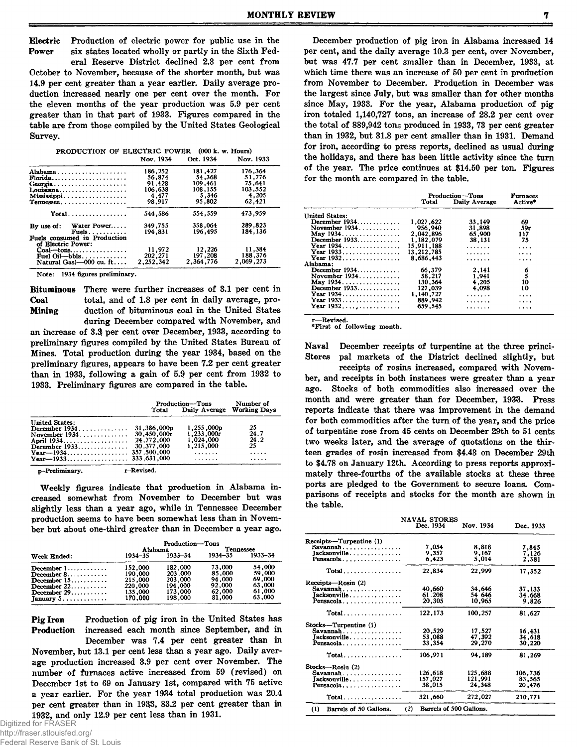Electric Production of electric power for public use in the Power six states located wholly or partly in the Sixth Fed-

eral Reserve District declined 2.3 per cent from October to November, because of the shorter month, but was 14.9 per cent greater than a year earlier. Daily average production increased nearly one per cent over the month. For the eleven months of the year production was 5.9 per cent greater than in that part of 1933. Figures compared in the table are from those compiled by the United States Geological Survey.

| PRODUCTION OF ELECTRIC POWER (000 k. w. Hours) |  |
|------------------------------------------------|--|
|------------------------------------------------|--|

|                                                    | Nov. 1934 | Oct. 1934 | Nov. 1933 |
|----------------------------------------------------|-----------|-----------|-----------|
| Alabama                                            | 186,252   | 181.427   | 176.364   |
| $\mathbf{F}$ lorida                                | 56,874    | 54,368    | 51.776    |
| Georgia                                            | 91.428    | 109,461   | 75.641    |
| Louisiana                                          | 106.638   | 108,155   | 103,552   |
| Mississippi                                        | 4,477     | 5.346     | 4.205     |
| Tennessee                                          | 98,917    | 95,802    | 62.421    |
| $Total \dots \dots \dots \dots \dots \dots$        | 544.586   | 554.559   | 473.959   |
| Water Power<br>By use of:                          | 349.755   | 358,064   | 289.823   |
| Fuels.                                             | 194.831   | 196,495   | 184,136   |
| Fuels consumed in Production<br>of Electric Power: |           |           |           |
| $Coal$ --tons                                      | 11,972    | 12,226    | 11,384    |
| Fuel Oil—bbls.                                     | 202,271   | 197.208   | 188.376   |
| Natural Gas $-000$ cu. ft                          | 2,252,342 | 2,364,776 | 2.069.273 |
|                                                    |           |           |           |

Note: 1934 figures preliminary.

Bituminous There were further increases of 3.1 per cent in Coal total, and of 1.8 per cent in daily average, pro-Mining duction of bituminous coal in the United States during December compared with November, and

an increase of 3.\$ per cent over December, 1933, according to preliminary figures compiled by the United States Bureau of Mines. Total production during the year 1934, based on the preliminary figures, appears to have been 7.2 per cent greater than in 1933, following a gain of 5.9 per cent from 1932 to 1933. Preliminary figures are compared in the table.

|                       | Total       | <b>Production-Tons</b><br>Daily Average | Number of<br><b>Working Days</b> |
|-----------------------|-------------|-----------------------------------------|----------------------------------|
| <b>United States:</b> |             |                                         |                                  |
| December $1934$       | 31,386,000p | 1,255,000p                              | 25                               |
|                       | 30.450.000r | 1.233.000r                              | 24.7                             |
|                       | 24,772,000  | 1.024.000                               | 24.2                             |
| December $1933$       | 30,377,000  | 1.215.000                               | 25                               |
|                       |             | .                                       | .                                |
|                       |             | .                                       | .                                |
| p-Preliminary.        | r-Revised.  |                                         |                                  |

Weekly figures indicate that production in Alabama increased somewhat from November to December but was slightly less than a year ago, while in Tennessee December production seems to have been somewhat less than in November but about one-third greater than in December a year ago.

|                                      | Production-Tons |                |             |             |  |
|--------------------------------------|-----------------|----------------|-------------|-------------|--|
|                                      |                 | <b>Alabama</b> | Tennessee   |             |  |
| Week Ended:                          | 1934–35         | 1933–34        | $1934 - 35$ | $1933 - 34$ |  |
| December $1, \ldots, \ldots, \ldots$ | 152,000         | 182.000        | 73,000      | 54,000      |  |
| December $8, \ldots, \ldots, \ldots$ | 190,000         | 203,000        | 85,000      | 59,000      |  |
| December $15$                        | 215,000         | 203,000        | 94.000      | 69,000      |  |
| December $22$                        | 220,000         | 194,000        | 92.000      | 63,000      |  |
| December $29$                        | 135,000         | 173.000        | 62,000      | 61.000      |  |
| January $5 \ldots \ldots \ldots$     | 170.000         | 198,000        | 81,000      | 63,000      |  |

Pig Iron Production of pig iron in the United States has Production increased each month since September, and in December was 7.4 per cent greater than in

November, but 13.1 per cent less than a year ago. Daily average production increased 3.9 per cent over November. The number of furnaces active increased from 59 (revised) on December 1st to 69 on January 1st, compared with 75 active a year earlier. For the year 1934 total production was 20.4 per cent greater than in 1933, 83.2 per cent greater than in 1932, and only 12.9 per cent less than in 1931.

December production of pig iron in Alabama increased 14 per cent, and the daily average 10.3 per cent, over November, but was 47.7 per cent smaller than in December, 1933, at which time there was an increase of 50 per cent in production from November to December. Production in December was the largest since July, but was smaller than for other months since May, 1933. For the year, Alabama production of pig iron totaled 1,140,727 tons, an increase of 28.2 per cent over the total of 889,942 tons produced in 1933, 73 per cent greater than in 1932, but 31.8 per cent smaller than in 1931. Demand for iron, according to press reports, declined as usual during the holidays, and there has been little activity since the turn of the year. The price continues at \$14.50 per ton. Figures for the month are compared in the table.

|                       |            | Production-Tons<br>Daily Average<br>Total |          |  |
|-----------------------|------------|-------------------------------------------|----------|--|
| <b>United States:</b> |            |                                           |          |  |
| December $1934$       | 1,027,622  | 33.149                                    | 69       |  |
| November $1934$       | 956.940    | 31,898                                    | 59r      |  |
| May 1934.             | 2,042,896  | 65,900                                    | 117      |  |
| December 1933         | 1,182,079  | 38,131                                    | 75       |  |
| Year 1934             | 15,911,188 | .                                         | $\cdots$ |  |
| Year 1933             | 13.212.785 | .                                         | .        |  |
| Year $1932$           | 8.686.443  | .                                         | $\cdots$ |  |
| Alabama:              |            |                                           |          |  |
| December 1934         | 66,379     | 2,141                                     |          |  |
| November 1934         | 58,217     | 1,941                                     | 6<br>5   |  |
| May 1934.             | 130,364    | 4.205                                     | 10       |  |
| December $1933$       | 127,039    | 4.098                                     | 10       |  |
| Year 1934             | 1,140,727  | .                                         | .        |  |
| Year 1933             | 889,942    | .                                         |          |  |
| Year $1932$ ,         | 659.545    | .                                         |          |  |

 $-$ Revised. \*First of following month.

Naval December receipts of turpentine at the three princi-Stores pal markets of the District declined slightly, but

receipts of rosins increased, compared with November, and receipts in both instances were greater than a year ago. Stocks of both commodities also increased over the month and were greater than for December, 1933. Press reports indicate that there was improvement in the demand for both commodities after the turn of the year, and the price of turpentine rose from 45 cents on December 29th to 51 cents two weeks later, and the average of quotations on the thirteen grades of rosin increased from \$4.43 on December 29th to \$4.78 on January 12th. According to press reports approximately three-fourths of the available stocks at these three ports are pledged to the Government to secure loans. Comparisons of receipts and stocks for the month are shown in the table.

|                                             | NAVAL STORES |                         |           |  |  |
|---------------------------------------------|--------------|-------------------------|-----------|--|--|
|                                             | Dec. 1934    | Nov. 1934               | Dec. 1933 |  |  |
| Receipts—Turpentine (1)                     |              |                         |           |  |  |
| Savannah                                    | 7,054        | 8,818                   | 7.845     |  |  |
| Jacksonville                                | 9.357        | 9.167                   | 7.126     |  |  |
| Pensacola                                   | 6.423        | 5.014                   | 2.381     |  |  |
| $Total \dots \dots \dots \dots \dots$       | 22,834       | 22,999                  | 17,352    |  |  |
| Receipts-Rosin (2)                          |              |                         |           |  |  |
| Savannah                                    | 40,660       | 34,646                  | 37,133    |  |  |
| Jacksonville                                | 61.208       | 54 646                  | 34.668    |  |  |
| Pensacola                                   | 20,305       | 10,965                  | 9.826     |  |  |
| $Total \dots \dots \dots \dots \dots \dots$ | 122.173      | 100,257                 | 81.627    |  |  |
| Stocks-Turpentine (1)                       |              |                         |           |  |  |
| $Savannah \ldots \ldots \ldots \ldots$      | 20,529       | 17,527                  | 16.431    |  |  |
| Jacksonville.                               | 53,088       | 47.392                  | 34,618    |  |  |
| Pensacola                                   | 33,354       | 29,270                  | 30.220    |  |  |
| $Total \dots \dots \dots \dots \dots$       | 106,971      | 94,189                  | 81,269    |  |  |
| Stocks-Rosin (2)                            |              |                         |           |  |  |
| Savannah                                    | 126,618      | 125,688                 | 106,736   |  |  |
| Jacksonville                                | 157.027      | 121.991                 | 83.565    |  |  |
| Pensacola                                   | 38,015       | 24,348                  | 20.476    |  |  |
| Total                                       | 321,660      | 272,027                 | 210,771   |  |  |
| Barrels of 50 Gallons.<br>(1)               | (2)          | Barrels of 500 Gallons. |           |  |  |